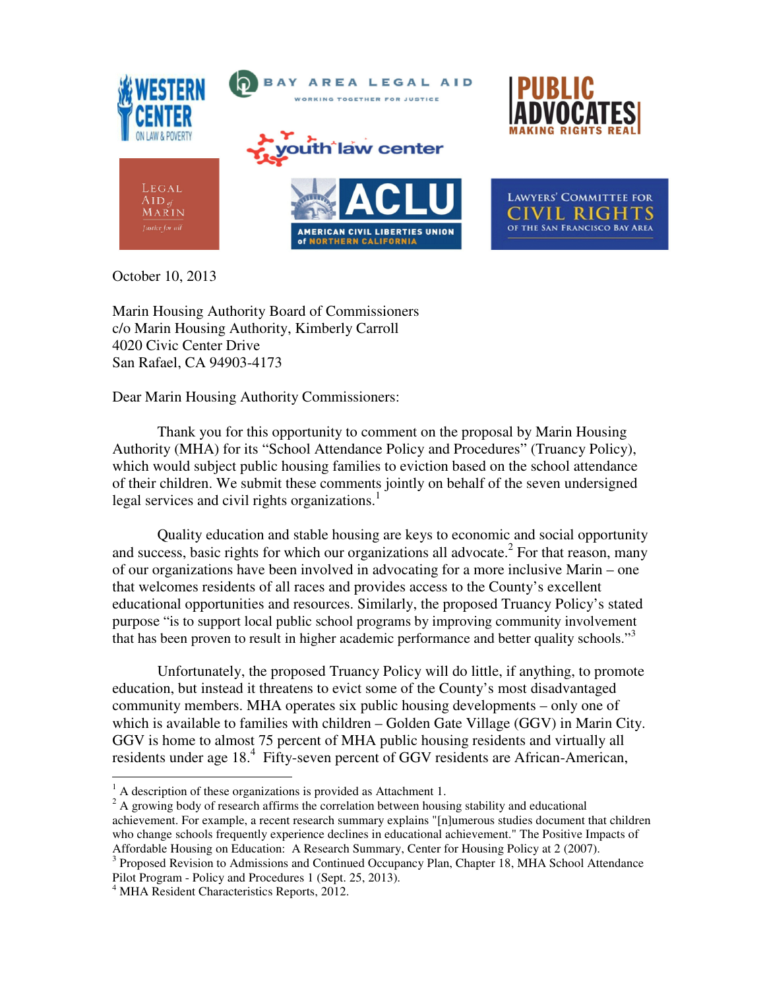

October 10, 2013

Marin Housing Authority Board of Commissioners c/o Marin Housing Authority, Kimberly Carroll 4020 Civic Center Drive San Rafael, CA 94903-4173

Dear Marin Housing Authority Commissioners:

Thank you for this opportunity to comment on the proposal by Marin Housing Authority (MHA) for its "School Attendance Policy and Procedures" (Truancy Policy), which would subject public housing families to eviction based on the school attendance of their children. We submit these comments jointly on behalf of the seven undersigned legal services and civil rights organizations.<sup>1</sup>

Quality education and stable housing are keys to economic and social opportunity and success, basic rights for which our organizations all advocate.<sup>2</sup> For that reason, many of our organizations have been involved in advocating for a more inclusive Marin – one that welcomes residents of all races and provides access to the County's excellent educational opportunities and resources. Similarly, the proposed Truancy Policy's stated purpose "is to support local public school programs by improving community involvement that has been proven to result in higher academic performance and better quality schools."<sup>3</sup>

Unfortunately, the proposed Truancy Policy will do little, if anything, to promote education, but instead it threatens to evict some of the County's most disadvantaged community members. MHA operates six public housing developments – only one of which is available to families with children – Golden Gate Village (GGV) in Marin City. GGV is home to almost 75 percent of MHA public housing residents and virtually all residents under age 18.<sup>4</sup> Fifty-seven percent of GGV residents are African-American,

<sup>3</sup> Proposed Revision to Admissions and Continued Occupancy Plan, Chapter 18, MHA School Attendance Pilot Program - Policy and Procedures 1 (Sept. 25, 2013).

<sup>&</sup>lt;sup>1</sup> A description of these organizations is provided as Attachment 1.

 $2A$  growing body of research affirms the correlation between housing stability and educational achievement. For example, a recent research summary explains "[n]umerous studies document that children who change schools frequently experience declines in educational achievement." The Positive Impacts of Affordable Housing on Education: A Research Summary, Center for Housing Policy at 2 (2007).

<sup>4</sup> MHA Resident Characteristics Reports, 2012.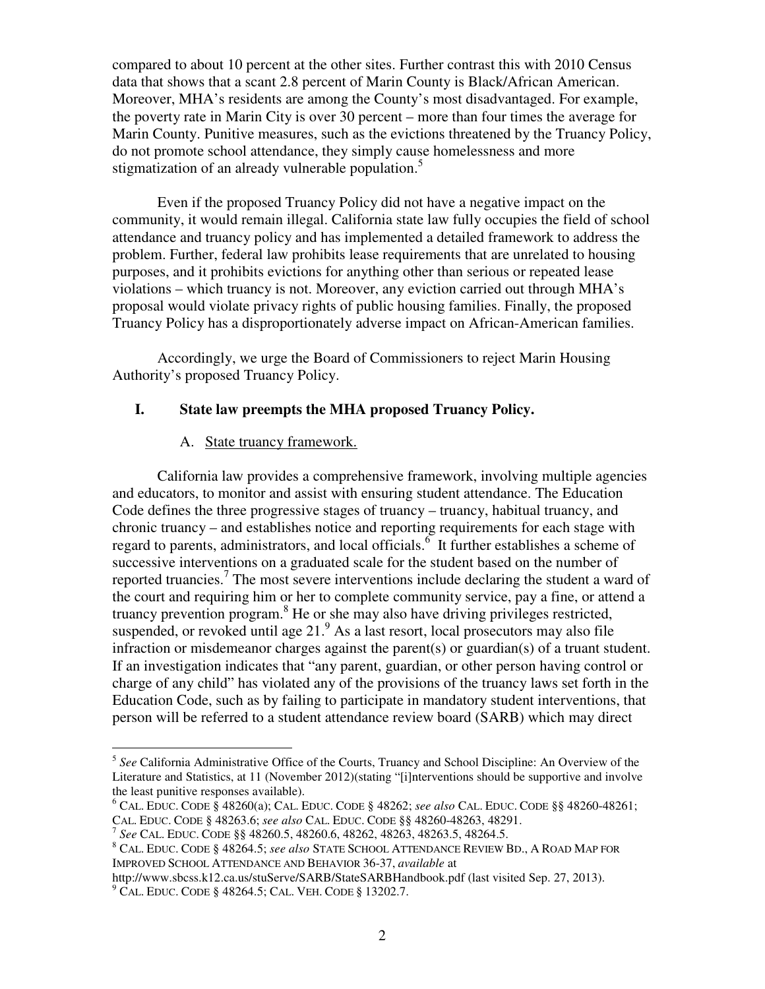compared to about 10 percent at the other sites. Further contrast this with 2010 Census data that shows that a scant 2.8 percent of Marin County is Black/African American. Moreover, MHA's residents are among the County's most disadvantaged. For example, the poverty rate in Marin City is over 30 percent – more than four times the average for Marin County. Punitive measures, such as the evictions threatened by the Truancy Policy, do not promote school attendance, they simply cause homelessness and more stigmatization of an already vulnerable population.<sup>5</sup>

Even if the proposed Truancy Policy did not have a negative impact on the community, it would remain illegal. California state law fully occupies the field of school attendance and truancy policy and has implemented a detailed framework to address the problem. Further, federal law prohibits lease requirements that are unrelated to housing purposes, and it prohibits evictions for anything other than serious or repeated lease violations – which truancy is not. Moreover, any eviction carried out through MHA's proposal would violate privacy rights of public housing families. Finally, the proposed Truancy Policy has a disproportionately adverse impact on African-American families.

Accordingly, we urge the Board of Commissioners to reject Marin Housing Authority's proposed Truancy Policy.

### **I. State law preempts the MHA proposed Truancy Policy.**

#### A. State truancy framework.

California law provides a comprehensive framework, involving multiple agencies and educators, to monitor and assist with ensuring student attendance. The Education Code defines the three progressive stages of truancy – truancy, habitual truancy, and chronic truancy – and establishes notice and reporting requirements for each stage with regard to parents, administrators, and local officials.<sup>6</sup> It further establishes a scheme of successive interventions on a graduated scale for the student based on the number of reported truancies.<sup>7</sup> The most severe interventions include declaring the student a ward of the court and requiring him or her to complete community service, pay a fine, or attend a truancy prevention program.<sup>8</sup> He or she may also have driving privileges restricted, suspended, or revoked until age 21.<sup>9</sup> As a last resort, local prosecutors may also file infraction or misdemeanor charges against the parent(s) or guardian(s) of a truant student. If an investigation indicates that "any parent, guardian, or other person having control or charge of any child" has violated any of the provisions of the truancy laws set forth in the Education Code, such as by failing to participate in mandatory student interventions, that person will be referred to a student attendance review board (SARB) which may direct

<sup>&</sup>lt;sup>5</sup> See California Administrative Office of the Courts, Truancy and School Discipline: An Overview of the Literature and Statistics, at 11 (November 2012)(stating "[i]nterventions should be supportive and involve the least punitive responses available).

<sup>6</sup> CAL. EDUC. CODE § 48260(a); CAL. EDUC. CODE § 48262; *see also* CAL. EDUC. CODE §§ 48260-48261; CAL. EDUC. CODE § 48263.6; *see also* CAL. EDUC. CODE §§ 48260-48263, 48291.

<sup>7</sup> *See* CAL. EDUC. CODE §§ 48260.5, 48260.6, 48262, 48263, 48263.5, 48264.5.

<sup>8</sup> CAL. EDUC. CODE § 48264.5; *see also* STATE SCHOOL ATTENDANCE REVIEW BD., A ROAD MAP FOR IMPROVED SCHOOL ATTENDANCE AND BEHAVIOR 36-37, *available* at

http://www.sbcss.k12.ca.us/stuServe/SARB/StateSARBHandbook.pdf (last visited Sep. 27, 2013).

<sup>9</sup> CAL. EDUC. CODE § 48264.5; CAL. VEH. CODE § 13202.7.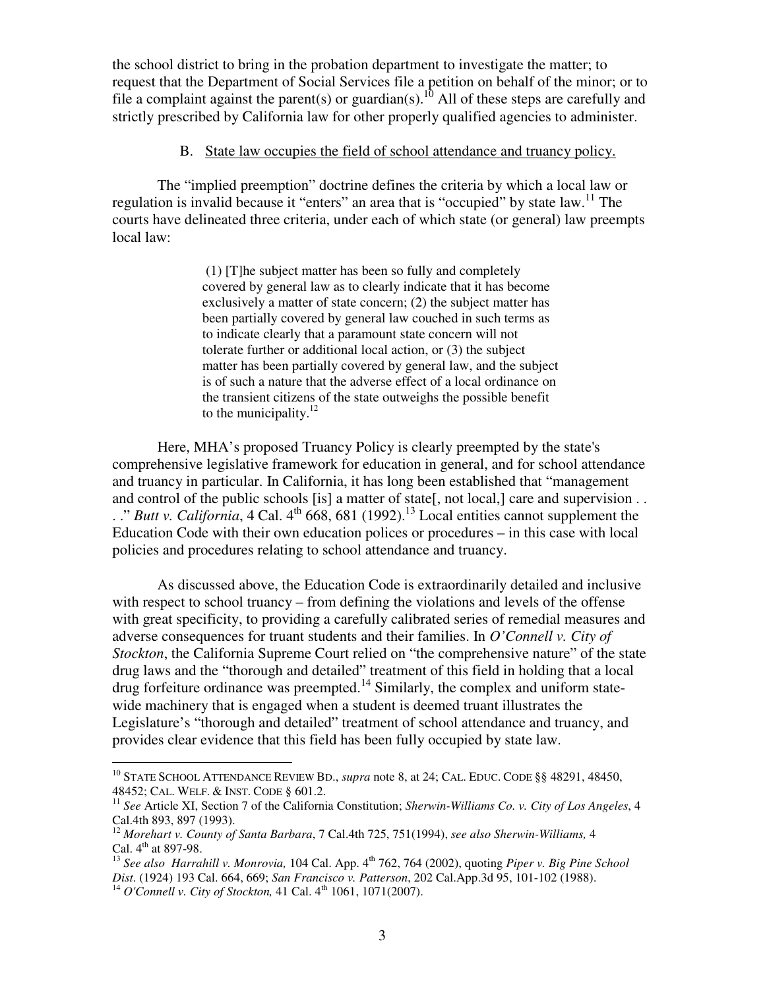the school district to bring in the probation department to investigate the matter; to request that the Department of Social Services file a petition on behalf of the minor; or to file a complaint against the parent(s) or guardian(s).<sup>10</sup> All of these steps are carefully and strictly prescribed by California law for other properly qualified agencies to administer.

#### B. State law occupies the field of school attendance and truancy policy.

The "implied preemption" doctrine defines the criteria by which a local law or regulation is invalid because it "enters" an area that is "occupied" by state law.<sup>11</sup> The courts have delineated three criteria, under each of which state (or general) law preempts local law:

> (1) [T]he subject matter has been so fully and completely covered by general law as to clearly indicate that it has become exclusively a matter of state concern; (2) the subject matter has been partially covered by general law couched in such terms as to indicate clearly that a paramount state concern will not tolerate further or additional local action, or (3) the subject matter has been partially covered by general law, and the subject is of such a nature that the adverse effect of a local ordinance on the transient citizens of the state outweighs the possible benefit to the municipality. $12$

Here, MHA's proposed Truancy Policy is clearly preempted by the state's comprehensive legislative framework for education in general, and for school attendance and truancy in particular. In California, it has long been established that "management and control of the public schools [is] a matter of state[, not local,] care and supervision . .  $\therefore$  *Butt v. California*, 4 Cal. 4<sup>th</sup> 668, 681 (1992).<sup>13</sup> Local entities cannot supplement the Education Code with their own education polices or procedures – in this case with local policies and procedures relating to school attendance and truancy.

As discussed above, the Education Code is extraordinarily detailed and inclusive with respect to school truancy – from defining the violations and levels of the offense with great specificity, to providing a carefully calibrated series of remedial measures and adverse consequences for truant students and their families. In *O'Connell v. City of Stockton*, the California Supreme Court relied on "the comprehensive nature" of the state drug laws and the "thorough and detailed" treatment of this field in holding that a local drug forfeiture ordinance was preempted.<sup>14</sup> Similarly, the complex and uniform statewide machinery that is engaged when a student is deemed truant illustrates the Legislature's "thorough and detailed" treatment of school attendance and truancy, and provides clear evidence that this field has been fully occupied by state law.

<sup>10</sup> STATE SCHOOL ATTENDANCE REVIEW BD., *supra* note 8, at 24; CAL. EDUC. CODE §§ 48291, 48450, 48452; CAL. WELF. & INST. CODE § 601.2.

<sup>&</sup>lt;sup>11</sup> *See* Article XI, Section 7 of the California Constitution; *Sherwin-Williams Co. v. City of Los Angeles*, 4 Cal.4th 893, 897 (1993).

<sup>12</sup> *Morehart v. County of Santa Barbara*, 7 Cal.4th 725, 751(1994), *see also Sherwin-Williams,* 4 Cal.  $4^{\text{th}}$  at 897-98.

<sup>&</sup>lt;sup>13</sup> See also Harrahill v. Monrovia, 104 Cal. App. 4<sup>th</sup> 762, 764 (2002), quoting *Piper v. Big Pine School Dist*. (1924) 193 Cal. 664, 669; *San Francisco v. Patterson*, 202 Cal.App.3d 95, 101-102 (1988).

<sup>&</sup>lt;sup>14</sup> *O'Connell v. City of Stockton,* 41 Cal. 4<sup>th</sup> 1061, 1071(2007).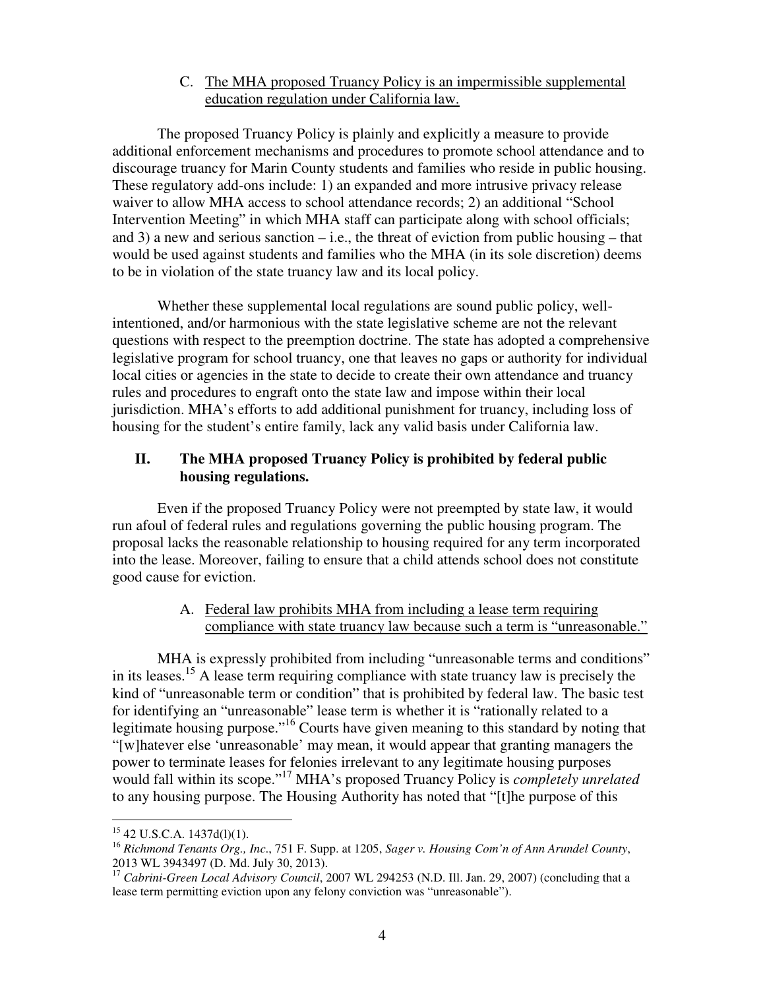### C. The MHA proposed Truancy Policy is an impermissible supplemental education regulation under California law.

The proposed Truancy Policy is plainly and explicitly a measure to provide additional enforcement mechanisms and procedures to promote school attendance and to discourage truancy for Marin County students and families who reside in public housing. These regulatory add-ons include: 1) an expanded and more intrusive privacy release waiver to allow MHA access to school attendance records; 2) an additional "School Intervention Meeting" in which MHA staff can participate along with school officials; and 3) a new and serious sanction – i.e., the threat of eviction from public housing – that would be used against students and families who the MHA (in its sole discretion) deems to be in violation of the state truancy law and its local policy.

Whether these supplemental local regulations are sound public policy, wellintentioned, and/or harmonious with the state legislative scheme are not the relevant questions with respect to the preemption doctrine. The state has adopted a comprehensive legislative program for school truancy, one that leaves no gaps or authority for individual local cities or agencies in the state to decide to create their own attendance and truancy rules and procedures to engraft onto the state law and impose within their local jurisdiction. MHA's efforts to add additional punishment for truancy, including loss of housing for the student's entire family, lack any valid basis under California law.

## **II. The MHA proposed Truancy Policy is prohibited by federal public housing regulations.**

 Even if the proposed Truancy Policy were not preempted by state law, it would run afoul of federal rules and regulations governing the public housing program. The proposal lacks the reasonable relationship to housing required for any term incorporated into the lease. Moreover, failing to ensure that a child attends school does not constitute good cause for eviction.

## A. Federal law prohibits MHA from including a lease term requiring compliance with state truancy law because such a term is "unreasonable."

MHA is expressly prohibited from including "unreasonable terms and conditions" in its leases.<sup>15</sup> A lease term requiring compliance with state truancy law is precisely the kind of "unreasonable term or condition" that is prohibited by federal law. The basic test for identifying an "unreasonable" lease term is whether it is "rationally related to a legitimate housing purpose."<sup>16</sup> Courts have given meaning to this standard by noting that "[w]hatever else 'unreasonable' may mean, it would appear that granting managers the power to terminate leases for felonies irrelevant to any legitimate housing purposes would fall within its scope."<sup>17</sup> MHA's proposed Truancy Policy is *completely unrelated* to any housing purpose. The Housing Authority has noted that "[t]he purpose of this

 $15$  42 U.S.C.A. 1437d(l)(1).

<sup>16</sup> *Richmond Tenants Org., Inc*., 751 F. Supp. at 1205, *Sager v. Housing Com'n of Ann Arundel County*, 2013 WL 3943497 (D. Md. July 30, 2013).

<sup>&</sup>lt;sup>17</sup> Cabrini-Green Local Advisory Council, 2007 WL 294253 (N.D. Ill. Jan. 29, 2007) (concluding that a lease term permitting eviction upon any felony conviction was "unreasonable").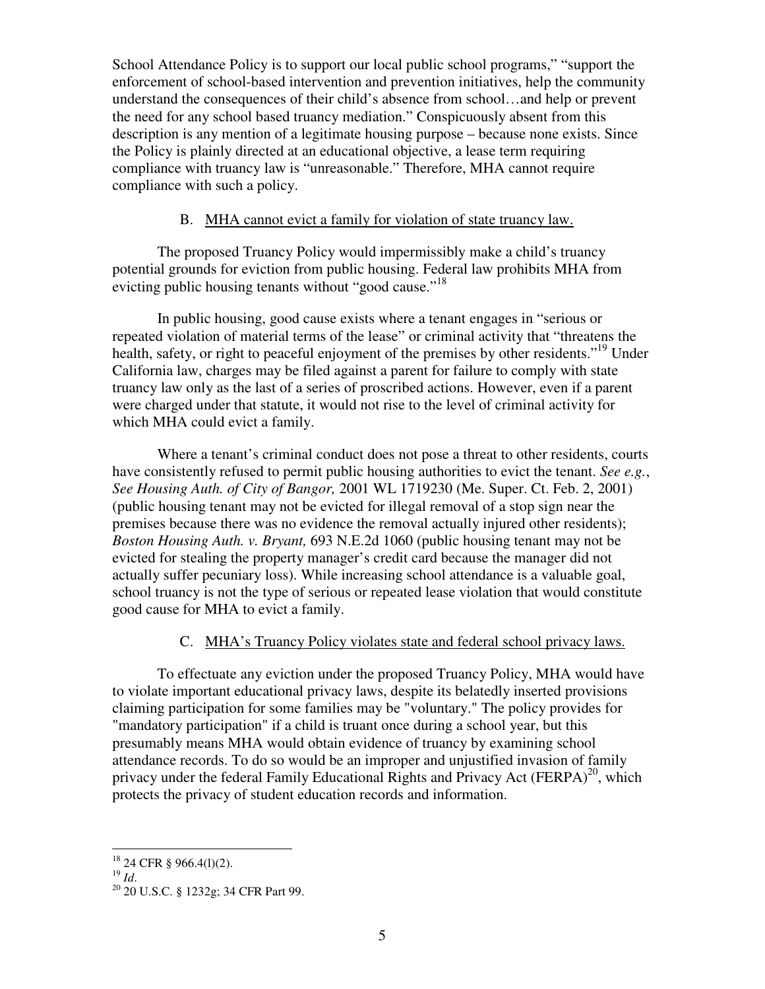School Attendance Policy is to support our local public school programs," "support the enforcement of school-based intervention and prevention initiatives, help the community understand the consequences of their child's absence from school…and help or prevent the need for any school based truancy mediation." Conspicuously absent from this description is any mention of a legitimate housing purpose – because none exists. Since the Policy is plainly directed at an educational objective, a lease term requiring compliance with truancy law is "unreasonable." Therefore, MHA cannot require compliance with such a policy.

### B. MHA cannot evict a family for violation of state truancy law.

The proposed Truancy Policy would impermissibly make a child's truancy potential grounds for eviction from public housing. Federal law prohibits MHA from evicting public housing tenants without "good cause."<sup>18</sup>

In public housing, good cause exists where a tenant engages in "serious or repeated violation of material terms of the lease" or criminal activity that "threatens the health, safety, or right to peaceful enjoyment of the premises by other residents."<sup>19</sup> Under California law, charges may be filed against a parent for failure to comply with state truancy law only as the last of a series of proscribed actions. However, even if a parent were charged under that statute, it would not rise to the level of criminal activity for which MHA could evict a family.

Where a tenant's criminal conduct does not pose a threat to other residents, courts have consistently refused to permit public housing authorities to evict the tenant. *See e.g.*, *See Housing Auth. of City of Bangor,* 2001 WL 1719230 (Me. Super. Ct. Feb. 2, 2001) (public housing tenant may not be evicted for illegal removal of a stop sign near the premises because there was no evidence the removal actually injured other residents); *Boston Housing Auth. v. Bryant,* 693 N.E.2d 1060 (public housing tenant may not be evicted for stealing the property manager's credit card because the manager did not actually suffer pecuniary loss). While increasing school attendance is a valuable goal, school truancy is not the type of serious or repeated lease violation that would constitute good cause for MHA to evict a family.

### C. MHA's Truancy Policy violates state and federal school privacy laws.

To effectuate any eviction under the proposed Truancy Policy, MHA would have to violate important educational privacy laws, despite its belatedly inserted provisions claiming participation for some families may be "voluntary." The policy provides for "mandatory participation" if a child is truant once during a school year, but this presumably means MHA would obtain evidence of truancy by examining school attendance records. To do so would be an improper and unjustified invasion of family privacy under the federal Family Educational Rights and Privacy Act (FERPA)<sup>20</sup>, which protects the privacy of student education records and information.

 $\overline{a}$  $18$  24 CFR § 966.4(1)(2).

<sup>19</sup> *Id*.

<sup>&</sup>lt;sup>20</sup> 20 U.S.C. § 1232g; 34 CFR Part 99.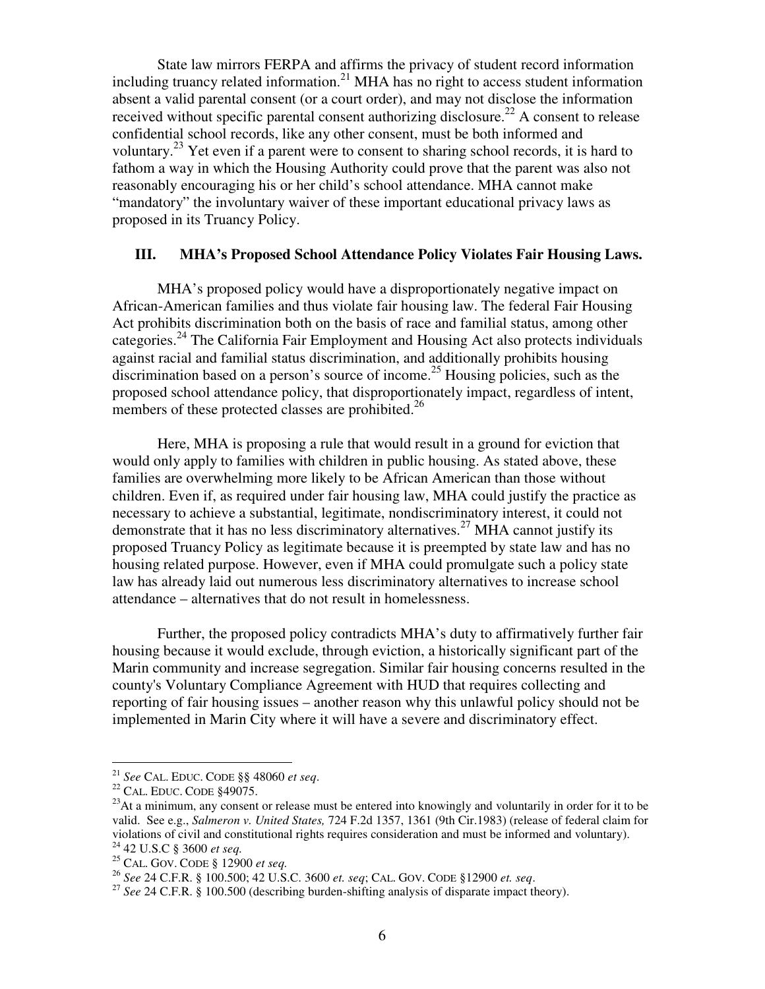State law mirrors FERPA and affirms the privacy of student record information including truancy related information.<sup>21</sup> MHA has no right to access student information absent a valid parental consent (or a court order), and may not disclose the information received without specific parental consent authorizing disclosure.<sup>22</sup> A consent to release confidential school records, like any other consent, must be both informed and voluntary.<sup>23</sup> Yet even if a parent were to consent to sharing school records, it is hard to fathom a way in which the Housing Authority could prove that the parent was also not reasonably encouraging his or her child's school attendance. MHA cannot make "mandatory" the involuntary waiver of these important educational privacy laws as proposed in its Truancy Policy.

### **III. MHA's Proposed School Attendance Policy Violates Fair Housing Laws.**

 MHA's proposed policy would have a disproportionately negative impact on African-American families and thus violate fair housing law. The federal Fair Housing Act prohibits discrimination both on the basis of race and familial status, among other categories.<sup>24</sup> The California Fair Employment and Housing Act also protects individuals against racial and familial status discrimination, and additionally prohibits housing discrimination based on a person's source of income.<sup>25</sup> Housing policies, such as the proposed school attendance policy, that disproportionately impact, regardless of intent, members of these protected classes are prohibited.<sup>26</sup>

Here, MHA is proposing a rule that would result in a ground for eviction that would only apply to families with children in public housing. As stated above, these families are overwhelming more likely to be African American than those without children. Even if, as required under fair housing law, MHA could justify the practice as necessary to achieve a substantial, legitimate, nondiscriminatory interest, it could not demonstrate that it has no less discriminatory alternatives.<sup>27</sup> MHA cannot justify its proposed Truancy Policy as legitimate because it is preempted by state law and has no housing related purpose. However, even if MHA could promulgate such a policy state law has already laid out numerous less discriminatory alternatives to increase school attendance – alternatives that do not result in homelessness.

Further, the proposed policy contradicts MHA's duty to affirmatively further fair housing because it would exclude, through eviction, a historically significant part of the Marin community and increase segregation. Similar fair housing concerns resulted in the county's Voluntary Compliance Agreement with HUD that requires collecting and reporting of fair housing issues – another reason why this unlawful policy should not be implemented in Marin City where it will have a severe and discriminatory effect.

<sup>21</sup> *See* CAL. EDUC. CODE §§ 48060 *et seq*.

<sup>&</sup>lt;sup>22</sup> CAL. EDUC. CODE §49075.

 $^{23}$ At a minimum, any consent or release must be entered into knowingly and voluntarily in order for it to be valid. See e.g., *Salmeron v. United States,* 724 F.2d 1357, 1361 (9th Cir.1983) (release of federal claim for violations of civil and constitutional rights requires consideration and must be informed and voluntary). <sup>24</sup> 42 U.S.C § 3600 *et seq.*

<sup>25</sup> CAL. GOV. CODE § 12900 *et seq.*

<sup>26</sup> *See* 24 C.F.R. § 100.500; 42 U.S.C. 3600 *et. seq*; CAL. GOV. CODE §12900 *et. seq*.

<sup>27</sup> *See* 24 C.F.R. § 100.500 (describing burden-shifting analysis of disparate impact theory).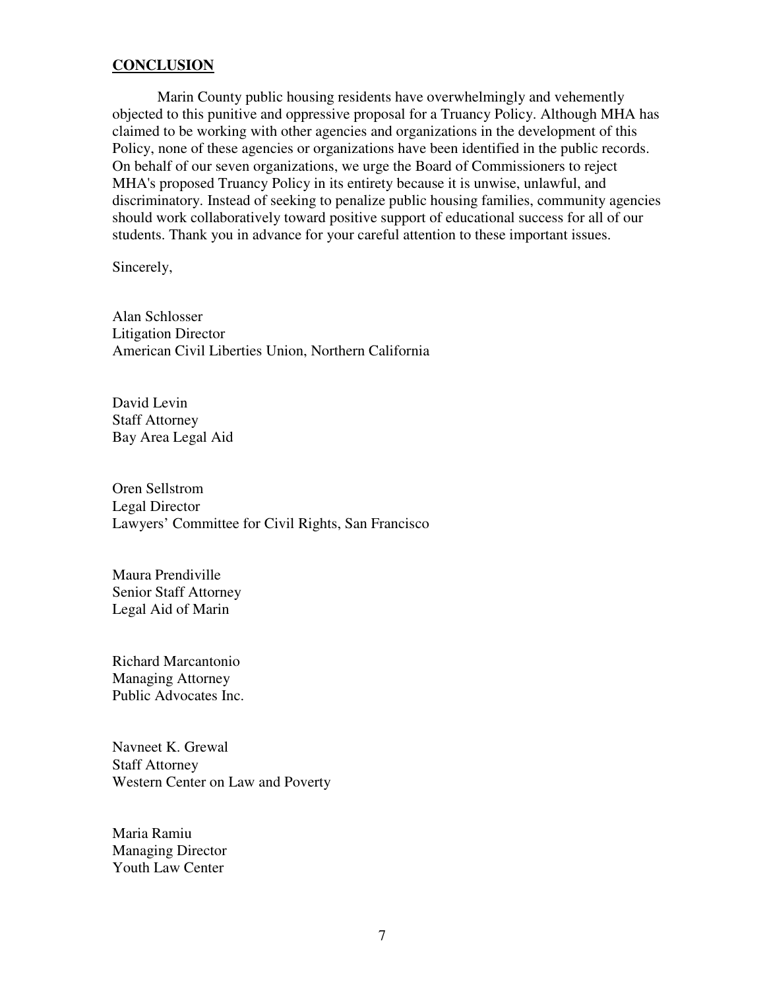#### **CONCLUSION**

Marin County public housing residents have overwhelmingly and vehemently objected to this punitive and oppressive proposal for a Truancy Policy. Although MHA has claimed to be working with other agencies and organizations in the development of this Policy, none of these agencies or organizations have been identified in the public records. On behalf of our seven organizations, we urge the Board of Commissioners to reject MHA's proposed Truancy Policy in its entirety because it is unwise, unlawful, and discriminatory. Instead of seeking to penalize public housing families, community agencies should work collaboratively toward positive support of educational success for all of our students. Thank you in advance for your careful attention to these important issues.

Sincerely,

Alan Schlosser Litigation Director American Civil Liberties Union, Northern California

David Levin Staff Attorney Bay Area Legal Aid

Oren Sellstrom Legal Director Lawyers' Committee for Civil Rights, San Francisco

Maura Prendiville Senior Staff Attorney Legal Aid of Marin

Richard Marcantonio Managing Attorney Public Advocates Inc.

Navneet K. Grewal Staff Attorney Western Center on Law and Poverty

Maria Ramiu Managing Director Youth Law Center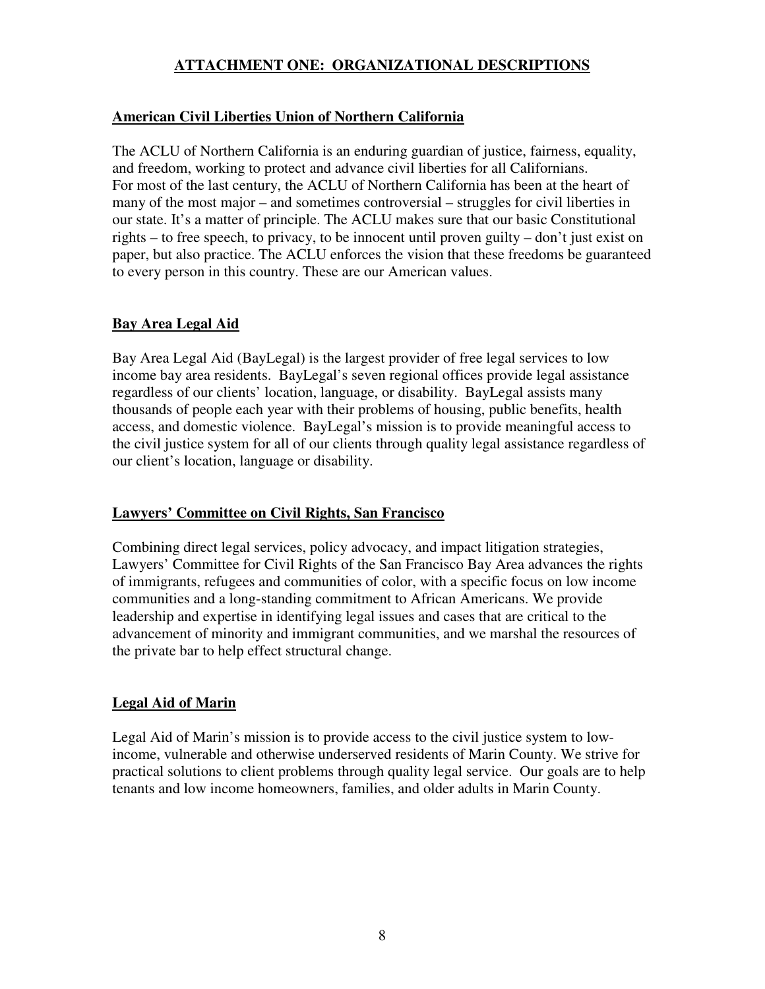# **ATTACHMENT ONE: ORGANIZATIONAL DESCRIPTIONS**

# **American Civil Liberties Union of Northern California**

The ACLU of Northern California is an enduring guardian of justice, fairness, equality, and freedom, working to protect and advance civil liberties for all Californians. For most of the last century, the ACLU of Northern California has been at the heart of many of the most major – and sometimes controversial – struggles for civil liberties in our state. It's a matter of principle. The ACLU makes sure that our basic Constitutional rights – to free speech, to privacy, to be innocent until proven guilty – don't just exist on paper, but also practice. The ACLU enforces the vision that these freedoms be guaranteed to every person in this country. These are our American values.

# **Bay Area Legal Aid**

Bay Area Legal Aid (BayLegal) is the largest provider of free legal services to low income bay area residents. BayLegal's seven regional offices provide legal assistance regardless of our clients' location, language, or disability. BayLegal assists many thousands of people each year with their problems of housing, public benefits, health access, and domestic violence. BayLegal's mission is to provide meaningful access to the civil justice system for all of our clients through quality legal assistance regardless of our client's location, language or disability.

# **Lawyers' Committee on Civil Rights, San Francisco**

Combining direct legal services, policy advocacy, and impact litigation strategies, Lawyers' Committee for Civil Rights of the San Francisco Bay Area advances the rights of immigrants, refugees and communities of color, with a specific focus on low income communities and a long-standing commitment to African Americans. We provide leadership and expertise in identifying legal issues and cases that are critical to the advancement of minority and immigrant communities, and we marshal the resources of the private bar to help effect structural change.

# **Legal Aid of Marin**

Legal Aid of Marin's mission is to provide access to the civil justice system to lowincome, vulnerable and otherwise underserved residents of Marin County. We strive for practical solutions to client problems through quality legal service. Our goals are to help tenants and low income homeowners, families, and older adults in Marin County.